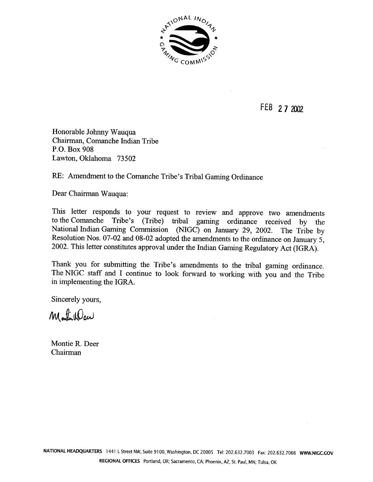

FEB 27 2002

Honorable Johnny Wauqua Chairman, Comanche Indian Tribe P.O. Box 908 Lawton, Oklahoma 73502

## RE: Amendment to the Comanche Tribe's Tribal Gaming Ordinance

Dear Chairman Wauqua:

This letter responds to your request to review and approve two amendments to the Comanche Tribe's (Tribe) tribal gaming ordinance received by the National Indian Gaming Commission (NIGC) on January 29, 2002. The Tribe by Resolution Nos. 07-02 and 08-02 adopted the amendments to the ordinance on January 5, 2002. This letter constitutes approval under the Indian Gaming Regulatory Act (IGRA).

Thank you for submitting the Tribe's amendments to the tribal gaming ordinance. The NIGC staff and I continue to look forward to working with you and the Tribe in implementing the IGRA.

Sincerely yours,

Montellew

Montie R. Deer Chairman